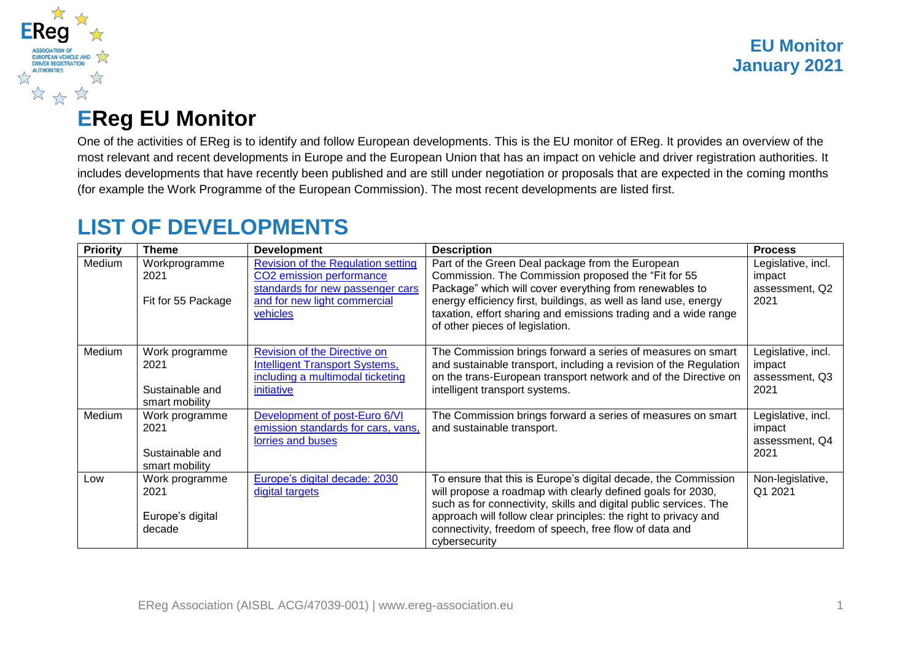

# **EReg EU Monitor**

One of the activities of EReg is to identify and follow European developments. This is the EU monitor of EReg. It provides an overview of the most relevant and recent developments in Europe and the European Union that has an impact on vehicle and driver registration authorities. It includes developments that have recently been published and are still under negotiation or proposals that are expected in the coming months (for example the Work Programme of the European Commission). The most recent developments are listed first.

# **LIST OF DEVELOPMENTS**

| <b>Priority</b> | <b>Theme</b>                                                | <b>Development</b>                                                                                                                             | <b>Description</b>                                                                                                                                                                                                                                                                                                                               | <b>Process</b>                                         |
|-----------------|-------------------------------------------------------------|------------------------------------------------------------------------------------------------------------------------------------------------|--------------------------------------------------------------------------------------------------------------------------------------------------------------------------------------------------------------------------------------------------------------------------------------------------------------------------------------------------|--------------------------------------------------------|
| Medium          | Workprogramme<br>2021<br>Fit for 55 Package                 | Revision of the Regulation setting<br>CO2 emission performance<br>standards for new passenger cars<br>and for new light commercial<br>vehicles | Part of the Green Deal package from the European<br>Commission. The Commission proposed the "Fit for 55<br>Package" which will cover everything from renewables to<br>energy efficiency first, buildings, as well as land use, energy<br>taxation, effort sharing and emissions trading and a wide range<br>of other pieces of legislation.      | Legislative, incl.<br>impact<br>assessment, Q2<br>2021 |
| Medium          | Work programme<br>2021<br>Sustainable and<br>smart mobility | Revision of the Directive on<br><b>Intelligent Transport Systems,</b><br>including a multimodal ticketing<br>initiative                        | The Commission brings forward a series of measures on smart<br>and sustainable transport, including a revision of the Regulation<br>on the trans-European transport network and of the Directive on<br>intelligent transport systems.                                                                                                            | Legislative, incl.<br>impact<br>assessment, Q3<br>2021 |
| Medium          | Work programme<br>2021<br>Sustainable and<br>smart mobility | Development of post-Euro 6/VI<br>emission standards for cars, vans,<br>lorries and buses                                                       | The Commission brings forward a series of measures on smart<br>and sustainable transport.                                                                                                                                                                                                                                                        | Legislative, incl.<br>impact<br>assessment, Q4<br>2021 |
| Low             | Work programme<br>2021<br>Europe's digital<br>decade        | Europe's digital decade: 2030<br>digital targets                                                                                               | To ensure that this is Europe's digital decade, the Commission<br>will propose a roadmap with clearly defined goals for 2030,<br>such as for connectivity, skills and digital public services. The<br>approach will follow clear principles: the right to privacy and<br>connectivity, freedom of speech, free flow of data and<br>cybersecurity | Non-legislative,<br>Q1 2021                            |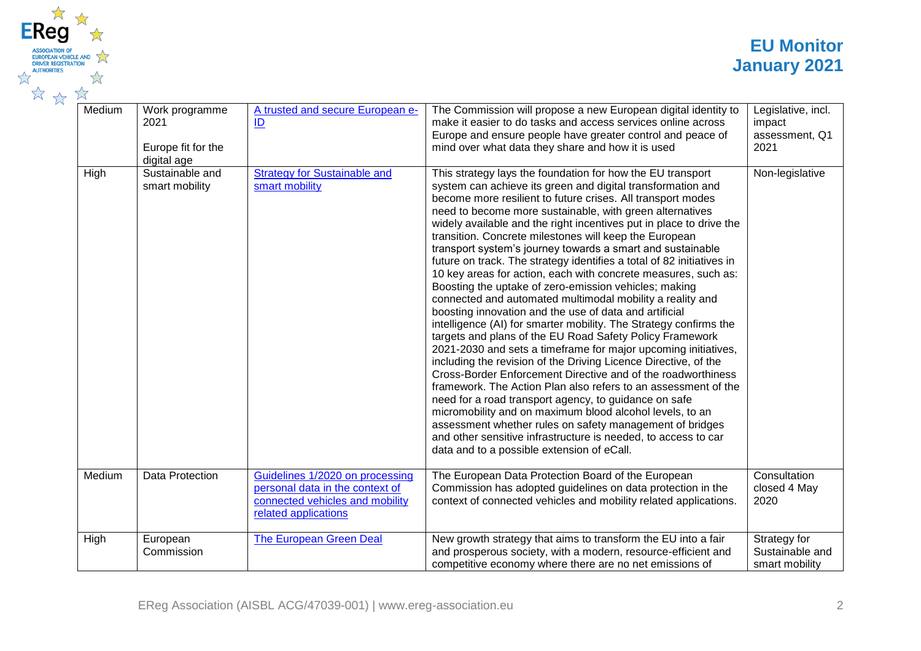| ERe                |                                                                                    |  |
|--------------------|------------------------------------------------------------------------------------|--|
| <b>AUTHORITIES</b> | <b>ASSOCIATION OF</b><br><b>EUROPEAN VEHICLE AND</b><br><b>DRIVER REGISTRATION</b> |  |
|                    |                                                                                    |  |

| Medium | Work programme<br>2021<br>Europe fit for the<br>digital age | A trusted and secure European e-<br>ID                                                                                        | The Commission will propose a new European digital identity to<br>make it easier to do tasks and access services online across<br>Europe and ensure people have greater control and peace of<br>mind over what data they share and how it is used                                                                                                                                                                                                                                                                                                                                                                                                                                                                                                                                                                                                                                                                                                                                                                                                                                                                                                                                                                                                                                                                                                                                                                                                                                       | Legislative, incl.<br>impact<br>assessment, Q1<br>2021 |
|--------|-------------------------------------------------------------|-------------------------------------------------------------------------------------------------------------------------------|-----------------------------------------------------------------------------------------------------------------------------------------------------------------------------------------------------------------------------------------------------------------------------------------------------------------------------------------------------------------------------------------------------------------------------------------------------------------------------------------------------------------------------------------------------------------------------------------------------------------------------------------------------------------------------------------------------------------------------------------------------------------------------------------------------------------------------------------------------------------------------------------------------------------------------------------------------------------------------------------------------------------------------------------------------------------------------------------------------------------------------------------------------------------------------------------------------------------------------------------------------------------------------------------------------------------------------------------------------------------------------------------------------------------------------------------------------------------------------------------|--------------------------------------------------------|
| High   | Sustainable and<br>smart mobility                           | <b>Strategy for Sustainable and</b><br>smart mobility                                                                         | This strategy lays the foundation for how the EU transport<br>system can achieve its green and digital transformation and<br>become more resilient to future crises. All transport modes<br>need to become more sustainable, with green alternatives<br>widely available and the right incentives put in place to drive the<br>transition. Concrete milestones will keep the European<br>transport system's journey towards a smart and sustainable<br>future on track. The strategy identifies a total of 82 initiatives in<br>10 key areas for action, each with concrete measures, such as:<br>Boosting the uptake of zero-emission vehicles; making<br>connected and automated multimodal mobility a reality and<br>boosting innovation and the use of data and artificial<br>intelligence (AI) for smarter mobility. The Strategy confirms the<br>targets and plans of the EU Road Safety Policy Framework<br>2021-2030 and sets a timeframe for major upcoming initiatives,<br>including the revision of the Driving Licence Directive, of the<br>Cross-Border Enforcement Directive and of the roadworthiness<br>framework. The Action Plan also refers to an assessment of the<br>need for a road transport agency, to guidance on safe<br>micromobility and on maximum blood alcohol levels, to an<br>assessment whether rules on safety management of bridges<br>and other sensitive infrastructure is needed, to access to car<br>data and to a possible extension of eCall. | Non-legislative                                        |
| Medium | Data Protection                                             | Guidelines 1/2020 on processing<br>personal data in the context of<br>connected vehicles and mobility<br>related applications | The European Data Protection Board of the European<br>Commission has adopted guidelines on data protection in the<br>context of connected vehicles and mobility related applications.                                                                                                                                                                                                                                                                                                                                                                                                                                                                                                                                                                                                                                                                                                                                                                                                                                                                                                                                                                                                                                                                                                                                                                                                                                                                                                   | Consultation<br>closed 4 May<br>2020                   |
| High   | European<br>Commission                                      | <b>The European Green Deal</b>                                                                                                | New growth strategy that aims to transform the EU into a fair<br>and prosperous society, with a modern, resource-efficient and<br>competitive economy where there are no net emissions of                                                                                                                                                                                                                                                                                                                                                                                                                                                                                                                                                                                                                                                                                                                                                                                                                                                                                                                                                                                                                                                                                                                                                                                                                                                                                               | Strategy for<br>Sustainable and<br>smart mobility      |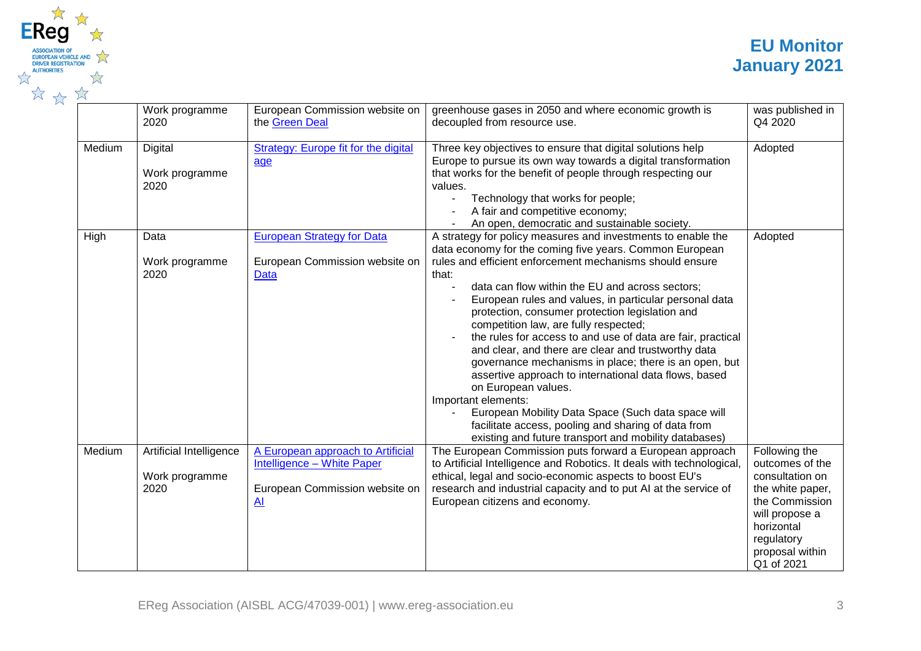

|        | Work programme<br>2020                            | European Commission website on<br>the Green Deal                                                                      | greenhouse gases in 2050 and where economic growth is<br>decoupled from resource use.                                                                                                                                                                                                                                                                                                                                                                                                                                                                                                                                                                                                                                                                                                                                                                             | was published in<br>Q4 2020                                                                                                                                              |
|--------|---------------------------------------------------|-----------------------------------------------------------------------------------------------------------------------|-------------------------------------------------------------------------------------------------------------------------------------------------------------------------------------------------------------------------------------------------------------------------------------------------------------------------------------------------------------------------------------------------------------------------------------------------------------------------------------------------------------------------------------------------------------------------------------------------------------------------------------------------------------------------------------------------------------------------------------------------------------------------------------------------------------------------------------------------------------------|--------------------------------------------------------------------------------------------------------------------------------------------------------------------------|
| Medium | Digital<br>Work programme<br>2020                 | Strategy: Europe fit for the digital<br>age                                                                           | Three key objectives to ensure that digital solutions help<br>Europe to pursue its own way towards a digital transformation<br>that works for the benefit of people through respecting our<br>values.<br>Technology that works for people;<br>A fair and competitive economy;<br>An open, democratic and sustainable society.                                                                                                                                                                                                                                                                                                                                                                                                                                                                                                                                     | Adopted                                                                                                                                                                  |
| High   | Data<br>Work programme<br>2020                    | <b>European Strategy for Data</b><br>European Commission website on<br>Data                                           | A strategy for policy measures and investments to enable the<br>data economy for the coming five years. Common European<br>rules and efficient enforcement mechanisms should ensure<br>that:<br>data can flow within the EU and across sectors;<br>European rules and values, in particular personal data<br>protection, consumer protection legislation and<br>competition law, are fully respected;<br>the rules for access to and use of data are fair, practical<br>and clear, and there are clear and trustworthy data<br>governance mechanisms in place; there is an open, but<br>assertive approach to international data flows, based<br>on European values.<br>Important elements:<br>European Mobility Data Space (Such data space will<br>facilitate access, pooling and sharing of data from<br>existing and future transport and mobility databases) | Adopted                                                                                                                                                                  |
| Medium | Artificial Intelligence<br>Work programme<br>2020 | A European approach to Artificial<br>Intelligence - White Paper<br>European Commission website on<br>$\underline{Al}$ | The European Commission puts forward a European approach<br>to Artificial Intelligence and Robotics. It deals with technological,<br>ethical, legal and socio-economic aspects to boost EU's<br>research and industrial capacity and to put AI at the service of<br>European citizens and economy.                                                                                                                                                                                                                                                                                                                                                                                                                                                                                                                                                                | Following the<br>outcomes of the<br>consultation on<br>the white paper,<br>the Commission<br>will propose a<br>horizontal<br>regulatory<br>proposal within<br>Q1 of 2021 |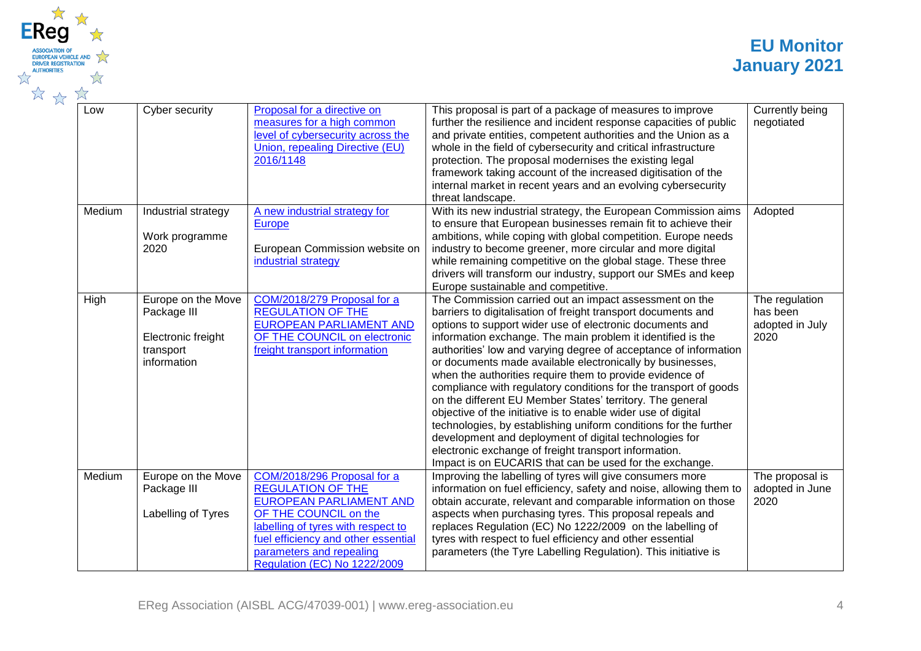

| Low    | Cyber security                                                                      | Proposal for a directive on<br>measures for a high common<br>level of cybersecurity across the<br><b>Union, repealing Directive (EU)</b><br>2016/1148                                                                                                              | This proposal is part of a package of measures to improve<br>further the resilience and incident response capacities of public<br>and private entities, competent authorities and the Union as a<br>whole in the field of cybersecurity and critical infrastructure<br>protection. The proposal modernises the existing legal<br>framework taking account of the increased digitisation of the<br>internal market in recent years and an evolving cybersecurity<br>threat landscape.                                                                                                                                                                                                                                                                                                                                                                                                                | <b>Currently being</b><br>negotiated                  |
|--------|-------------------------------------------------------------------------------------|--------------------------------------------------------------------------------------------------------------------------------------------------------------------------------------------------------------------------------------------------------------------|-----------------------------------------------------------------------------------------------------------------------------------------------------------------------------------------------------------------------------------------------------------------------------------------------------------------------------------------------------------------------------------------------------------------------------------------------------------------------------------------------------------------------------------------------------------------------------------------------------------------------------------------------------------------------------------------------------------------------------------------------------------------------------------------------------------------------------------------------------------------------------------------------------|-------------------------------------------------------|
| Medium | Industrial strategy<br>Work programme<br>2020                                       | A new industrial strategy for<br>Europe<br>European Commission website on<br>industrial strategy                                                                                                                                                                   | With its new industrial strategy, the European Commission aims<br>to ensure that European businesses remain fit to achieve their<br>ambitions, while coping with global competition. Europe needs<br>industry to become greener, more circular and more digital<br>while remaining competitive on the global stage. These three<br>drivers will transform our industry, support our SMEs and keep<br>Europe sustainable and competitive.                                                                                                                                                                                                                                                                                                                                                                                                                                                            | Adopted                                               |
| High   | Europe on the Move<br>Package III<br>Electronic freight<br>transport<br>information | COM/2018/279 Proposal for a<br><b>REGULATION OF THE</b><br><b>EUROPEAN PARLIAMENT AND</b><br>OF THE COUNCIL on electronic<br>freight transport information                                                                                                         | The Commission carried out an impact assessment on the<br>barriers to digitalisation of freight transport documents and<br>options to support wider use of electronic documents and<br>information exchange. The main problem it identified is the<br>authorities' low and varying degree of acceptance of information<br>or documents made available electronically by businesses,<br>when the authorities require them to provide evidence of<br>compliance with regulatory conditions for the transport of goods<br>on the different EU Member States' territory. The general<br>objective of the initiative is to enable wider use of digital<br>technologies, by establishing uniform conditions for the further<br>development and deployment of digital technologies for<br>electronic exchange of freight transport information.<br>Impact is on EUCARIS that can be used for the exchange. | The regulation<br>has been<br>adopted in July<br>2020 |
| Medium | Europe on the Move<br>Package III<br>Labelling of Tyres                             | COM/2018/296 Proposal for a<br><b>REGULATION OF THE</b><br><b>EUROPEAN PARLIAMENT AND</b><br>OF THE COUNCIL on the<br>labelling of tyres with respect to<br>fuel efficiency and other essential<br>parameters and repealing<br><b>Regulation (EC) No 1222/2009</b> | Improving the labelling of tyres will give consumers more<br>information on fuel efficiency, safety and noise, allowing them to<br>obtain accurate, relevant and comparable information on those<br>aspects when purchasing tyres. This proposal repeals and<br>replaces Regulation (EC) No 1222/2009 on the labelling of<br>tyres with respect to fuel efficiency and other essential<br>parameters (the Tyre Labelling Regulation). This initiative is                                                                                                                                                                                                                                                                                                                                                                                                                                            | The proposal is<br>adopted in June<br>2020            |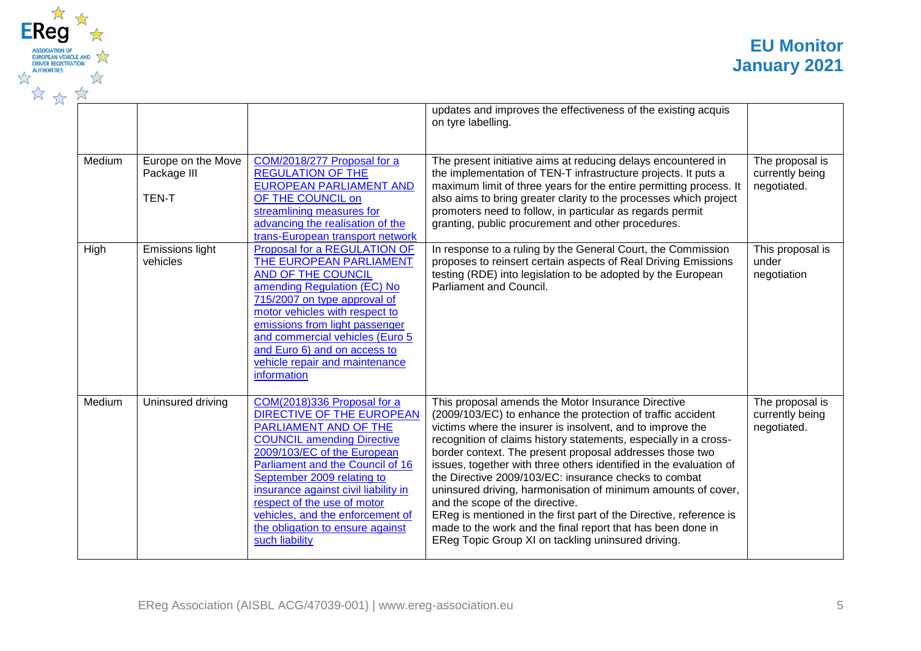

|        |                                                   |                                                                                                                                                                                                                                                                                                                                                                                          | updates and improves the effectiveness of the existing acquis<br>on tyre labelling.                                                                                                                                                                                                                                                                                                                                                                                                                                                                                                                                                                                                                                                           |                                                   |
|--------|---------------------------------------------------|------------------------------------------------------------------------------------------------------------------------------------------------------------------------------------------------------------------------------------------------------------------------------------------------------------------------------------------------------------------------------------------|-----------------------------------------------------------------------------------------------------------------------------------------------------------------------------------------------------------------------------------------------------------------------------------------------------------------------------------------------------------------------------------------------------------------------------------------------------------------------------------------------------------------------------------------------------------------------------------------------------------------------------------------------------------------------------------------------------------------------------------------------|---------------------------------------------------|
| Medium | Europe on the Move<br>Package III<br><b>TEN-T</b> | COM/2018/277 Proposal for a<br><b>REGULATION OF THE</b><br><b>EUROPEAN PARLIAMENT AND</b><br>OF THE COUNCIL on<br>streamlining measures for<br>advancing the realisation of the<br>trans-European transport network                                                                                                                                                                      | The present initiative aims at reducing delays encountered in<br>the implementation of TEN-T infrastructure projects. It puts a<br>maximum limit of three years for the entire permitting process. It<br>also aims to bring greater clarity to the processes which project<br>promoters need to follow, in particular as regards permit<br>granting, public procurement and other procedures.                                                                                                                                                                                                                                                                                                                                                 | The proposal is<br>currently being<br>negotiated. |
| High   | <b>Emissions light</b><br>vehicles                | Proposal for a REGULATION OF<br>THE EUROPEAN PARLIAMENT<br><b>AND OF THE COUNCIL</b><br>amending Regulation (EC) No<br>715/2007 on type approval of<br>motor vehicles with respect to<br>emissions from light passenger<br>and commercial vehicles (Euro 5<br>and Euro 6) and on access to<br>vehicle repair and maintenance<br>information                                              | In response to a ruling by the General Court, the Commission<br>proposes to reinsert certain aspects of Real Driving Emissions<br>testing (RDE) into legislation to be adopted by the European<br>Parliament and Council.                                                                                                                                                                                                                                                                                                                                                                                                                                                                                                                     | This proposal is<br>under<br>negotiation          |
| Medium | Uninsured driving                                 | COM(2018)336 Proposal for a<br>DIRECTIVE OF THE EUROPEAN<br>PARLIAMENT AND OF THE<br><b>COUNCIL amending Directive</b><br>2009/103/EC of the European<br>Parliament and the Council of 16<br>September 2009 relating to<br>insurance against civil liability in<br>respect of the use of motor<br>vehicles, and the enforcement of<br>the obligation to ensure against<br>such liability | This proposal amends the Motor Insurance Directive<br>(2009/103/EC) to enhance the protection of traffic accident<br>victims where the insurer is insolvent, and to improve the<br>recognition of claims history statements, especially in a cross-<br>border context. The present proposal addresses those two<br>issues, together with three others identified in the evaluation of<br>the Directive 2009/103/EC: insurance checks to combat<br>uninsured driving, harmonisation of minimum amounts of cover,<br>and the scope of the directive.<br>EReg is mentioned in the first part of the Directive, reference is<br>made to the work and the final report that has been done in<br>EReg Topic Group XI on tackling uninsured driving. | The proposal is<br>currently being<br>negotiated. |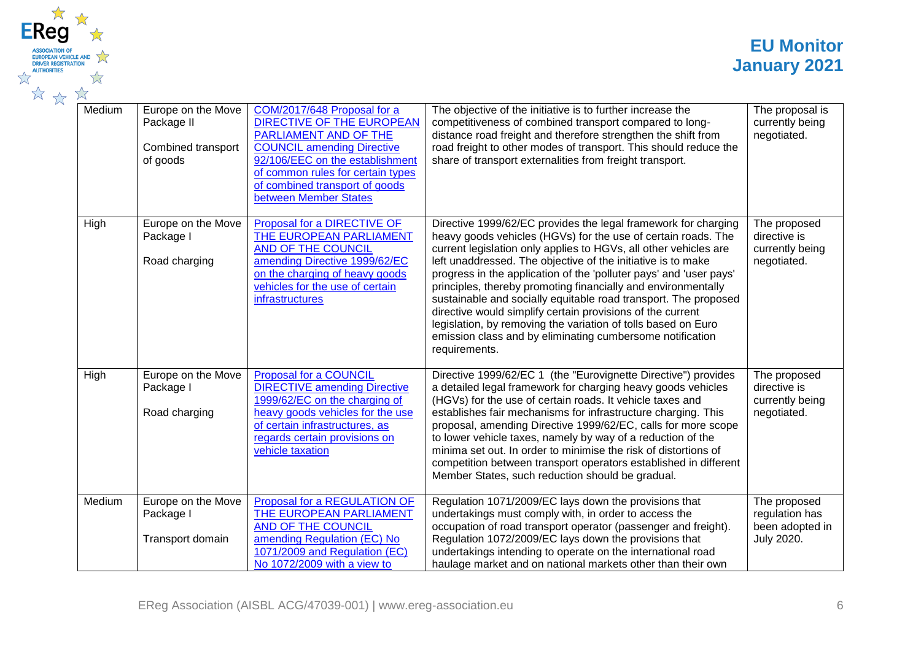| EUROPEAN VEHICLE AND<br><b>DRIVER REGISTRATION</b><br>☆<br>☆ |                                                                    |                                                                                                                                                                                                                                                                  |                                                                                                                                                                                                                                                                                                                                                                                                                                                                                                                                                                                                                                                                                            | <b>EU Monitor</b><br><b>January 2021</b>                               |
|--------------------------------------------------------------|--------------------------------------------------------------------|------------------------------------------------------------------------------------------------------------------------------------------------------------------------------------------------------------------------------------------------------------------|--------------------------------------------------------------------------------------------------------------------------------------------------------------------------------------------------------------------------------------------------------------------------------------------------------------------------------------------------------------------------------------------------------------------------------------------------------------------------------------------------------------------------------------------------------------------------------------------------------------------------------------------------------------------------------------------|------------------------------------------------------------------------|
| Medium                                                       | Europe on the Move<br>Package II<br>Combined transport<br>of goods | COM/2017/648 Proposal for a<br><b>DIRECTIVE OF THE EUROPEAN</b><br>PARLIAMENT AND OF THE<br><b>COUNCIL amending Directive</b><br>92/106/EEC on the establishment<br>of common rules for certain types<br>of combined transport of goods<br>between Member States | The objective of the initiative is to further increase the<br>competitiveness of combined transport compared to long-<br>distance road freight and therefore strengthen the shift from<br>road freight to other modes of transport. This should reduce the<br>share of transport externalities from freight transport.                                                                                                                                                                                                                                                                                                                                                                     | The proposal is<br>currently being<br>negotiated.                      |
| High                                                         | Europe on the Move<br>Package I<br>Road charging                   | Proposal for a DIRECTIVE OF<br>THE EUROPEAN PARLIAMENT<br><b>AND OF THE COUNCIL</b><br>amending Directive 1999/62/EC<br>on the charging of heavy goods<br>vehicles for the use of certain<br>infrastructures                                                     | Directive 1999/62/EC provides the legal framework for charging<br>heavy goods vehicles (HGVs) for the use of certain roads. The<br>current legislation only applies to HGVs, all other vehicles are<br>left unaddressed. The objective of the initiative is to make<br>progress in the application of the 'polluter pays' and 'user pays'<br>principles, thereby promoting financially and environmentally<br>sustainable and socially equitable road transport. The proposed<br>directive would simplify certain provisions of the current<br>legislation, by removing the variation of tolls based on Euro<br>emission class and by eliminating cumbersome notification<br>requirements. | The proposed<br>directive is<br>currently being<br>negotiated.         |
| High                                                         | Europe on the Move<br>Package I<br>Road charging                   | <b>Proposal for a COUNCIL</b><br><b>DIRECTIVE amending Directive</b><br>1999/62/EC on the charging of<br>heavy goods vehicles for the use<br>of certain infrastructures, as<br>regards certain provisions on<br>vehicle taxation                                 | Directive 1999/62/EC 1 (the "Eurovignette Directive") provides<br>a detailed legal framework for charging heavy goods vehicles<br>(HGVs) for the use of certain roads. It vehicle taxes and<br>establishes fair mechanisms for infrastructure charging. This<br>proposal, amending Directive 1999/62/EC, calls for more scope<br>to lower vehicle taxes, namely by way of a reduction of the<br>minima set out. In order to minimise the risk of distortions of<br>competition between transport operators established in different<br>Member States, such reduction should be gradual.                                                                                                    | The proposed<br>directive is<br>currently being<br>negotiated.         |
| Medium                                                       | Europe on the Move<br>Package I<br>Transport domain                | Proposal for a REGULATION OF<br>THE EUROPEAN PARLIAMENT<br><b>AND OF THE COUNCIL</b><br>amending Regulation (EC) No<br>1071/2009 and Regulation (EC)<br>No 1072/2009 with a view to                                                                              | Regulation 1071/2009/EC lays down the provisions that<br>undertakings must comply with, in order to access the<br>occupation of road transport operator (passenger and freight).<br>Regulation 1072/2009/EC lays down the provisions that<br>undertakings intending to operate on the international road<br>haulage market and on national markets other than their own                                                                                                                                                                                                                                                                                                                    | The proposed<br>regulation has<br>been adopted in<br><b>July 2020.</b> |

太太

☆

**EReg** 

☆

资改